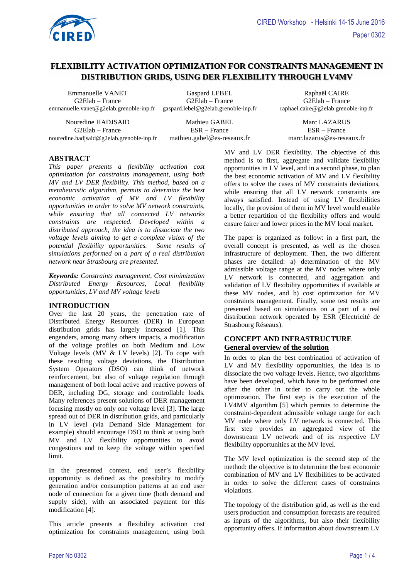

# **FLEXIBILITY ACTIVATION OPTIMIZATION FOR CONSTRAINTS MANAGEMENT IN DISTRIBUTION GRIDS, USING DER FLEXIBILITY THROUGH LV4MV**

Emmanuelle VANET Gaspard LEBEL Raphaël CAIRE emmanuelle.vanet@g2elab.grenoble-inp.fr gaspard.lebel@g2elab.grenoble-inp.fr

Nouredine HADJSAID Mathieu GABEL Marc LAZARUS G2Elab – France ESR – France ESR – France nouredine.hadjsaid@g2elab.grenoble-inp.fr mathieu.gabel@es-reseaux.fr marc.lazarus@es-reseaux.fr

G2Elab – France G2Elab – G2Elab – G2Elab – G2Elab – G2Elab – France G2Elab – France G2Elab – France G2Elab – France G2Elab – France G2Elab – France G2Elab – France G2Elab – France G2Elab – France G2Elab – France G2Elab – F

# **ABSTRACT**

*This paper presents a flexibility activation cost optimization for constraints management, using both MV and LV DER flexibility. This method, based on a metaheuristic algorithm, permits to determine the best economic activation of MV and LV flexibility opportunities in order to solve MV network constraints, while ensuring that all connected LV networks constraints are respected. Developed within a distributed approach, the idea is to dissociate the two voltage levels aiming to get a complete vision of the potential flexibility opportunities. Some results of simulations performed on a part of a real distribution network near Strasbourg are presented.* 

*Keywords: Constraints management, Cost minimization Distributed Energy Resources, Local flexibility opportunities, LV and MV voltage levels*

#### **INTRODUCTION**

Over the last 20 years, the penetration rate of Distributed Energy Resources (DER) in European distribution grids has largely increased [1]. This engenders, among many others impacts, a modification of the voltage profiles on both Medium and Low Voltage levels (MV & LV levels) [2]. To cope with these resulting voltage deviations, the Distribution System Operators (DSO) can think of network reinforcement, but also of voltage regulation through management of both local active and reactive powers of DER, including DG, storage and controllable loads. Many references present solutions of DER management focusing mostly on only one voltage level [3]. The large spread out of DER in distribution grids, and particularly in LV level (via Demand Side Management for example) should encourage DSO to think at using both MV and LV flexibility opportunities to avoid congestions and to keep the voltage within specified limit.

In the presented context, end user's flexibility opportunity is defined as the possibility to modify generation and/or consumption patterns at an end user node of connection for a given time (both demand and supply side), with an associated payment for this modification [4].

This article presents a flexibility activation cost optimization for constraints management, using both

MV and LV DER flexibility. The objective of this method is to first, aggregate and validate flexibility opportunities in LV level, and in a second phase, to plan the best economic activation of MV and LV flexibility offers to solve the cases of MV constraints deviations, while ensuring that all LV network constraints are always satisfied. Instead of using LV flexibilities locally, the provision of them in MV level would enable a better repartition of the flexibility offers and would ensure fairer and lower prices in the MV local market.

The paper is organized as follow: in a first part, the overall concept is presented, as well as the chosen infrastructure of deployment. Then, the two different phases are detailed: a) determination of the MV admissible voltage range at the MV nodes where only LV network is connected, and aggregation and validation of LV flexibility opportunities if available at these MV nodes, and b) cost optimization for MV constraints management. Finally, some test results are presented based on simulations on a part of a real distribution network operated by ESR (Electricité de Strasbourg Réseaux).

## **CONCEPT AND INFRASTRUCTURE General overview of the solution**

In order to plan the best combination of activation of LV and MV flexibility opportunities, the idea is to dissociate the two voltage levels. Hence, two algorithms have been developed, which have to be performed one after the other in order to carry out the whole optimization. The first step is the execution of the LV4MV algorithm [5] which permits to determine the constraint-dependent admissible voltage range for each MV node where only LV network is connected. This first step provides an aggregated view of the downstream LV network and of its respective LV flexibility opportunities at the MV level.

The MV level optimization is the second step of the method: the objective is to determine the best economic combination of MV and LV flexibilities to be activated in order to solve the different cases of constraints violations.

The topology of the distribution grid, as well as the end users production and consumption forecasts are required as inputs of the algorithms, but also their flexibility opportunity offers. If information about downstream LV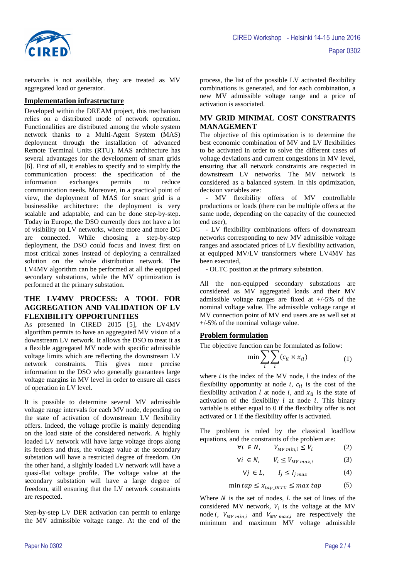

networks is not available, they are treated as MV aggregated load or generator.

### **Implementation infrastructure**

Developed within the DREAM project, this mechanism relies on a distributed mode of network operation. Functionalities are distributed among the whole system network thanks to a Multi-Agent System (MAS) deployment through the installation of advanced Remote Terminal Units (RTU). MAS architecture has several advantages for the development of smart grids [6]. First of all, it enables to specify and to simplify the communication process: the specification of the information exchanges permits to reduce communication needs. Moreover, in a practical point of view, the deployment of MAS for smart grid is a businesslike architecture: the deployment is very scalable and adaptable, and can be done step-by-step. Today in Europe, the DSO currently does not have a lot of visibility on LV networks, where more and more DG are connected. While choosing a step-by-step deployment, the DSO could focus and invest first on most critical zones instead of deploying a centralized solution on the whole distribution network. The LV4MV algorithm can be performed at all the equipped secondary substations, while the MV optimization is performed at the primary substation.

### **THE LV4MV PROCESS: A TOOL FOR AGGREGATION AND VALIDATION OF LV FLEXIBILITY OPPORTUNITIES**

As presented in CIRED 2015 [5], the LV4MV algorithm permits to have an aggregated MV vision of a downstream LV network. It allows the DSO to treat it as a flexible aggregated MV node with specific admissible voltage limits which are reflecting the downstream LV network constraints. This gives more precise information to the DSO who generally guarantees large voltage margins in MV level in order to ensure all cases of operation in LV level.

It is possible to determine several MV admissible voltage range intervals for each MV node, depending on the state of activation of downstream LV flexibility offers. Indeed, the voltage profile is mainly depending on the load state of the considered network. A highly loaded LV network will have large voltage drops along its feeders and thus, the voltage value at the secondary substation will have a restricted degree of freedom. On the other hand, a slightly loaded LV network will have a quasi-flat voltage profile. The voltage value at the secondary substation will have a large degree of freedom, still ensuring that the LV network constraints are respected.

Step-by-step LV DER activation can permit to enlarge the MV admissible voltage range. At the end of the

process, the list of the possible LV activated flexibility combinations is generated, and for each combination, a new MV admissible voltage range and a price of activation is associated.

## **MV GRID MINIMAL COST CONSTRAINTS MANAGEMENT**

The objective of this optimization is to determine the best economic combination of MV and LV flexibilities to be activated in order to solve the different cases of voltage deviations and current congestions in MV level, ensuring that all network constraints are respected in downstream LV networks. The MV network is considered as a balanced system. In this optimization, decision variables are:

MV flexibility offers of MV controllable productions or loads (there can be multiple offers at the same node, depending on the capacity of the connected end user),

- LV flexibility combinations offers of downstream networks corresponding to new MV admissible voltage ranges and associated prices of LV flexibility activation, at equipped MV/LV transformers where LV4MV has been executed,

- OLTC position at the primary substation.

All the non-equipped secondary substations are considered as MV aggregated loads and their MV admissible voltage ranges are fixed at  $+/-5\%$  of the nominal voltage value. The admissible voltage range at MV connection point of MV end users are as well set at +/-5% of the nominal voltage value.

#### **Problem formulation**

The objective function can be formulated as follow:

$$
\min \sum_{i} \sum_{l} (c_{il} \times x_{il}) \tag{1}
$$

where  $i$  is the index of the MV node,  $l$  the index of the flexibility opportunity at node *i*,  $c_{il}$  is the cost of the flexibility activation l at node i, and  $x_{il}$  is the state of activation of the flexibility  $l$  at node  $i$ . This binary variable is either equal to 0 if the flexibility offer is not activated or 1 if the flexibility offer is activated.

The problem is ruled by the classical loadflow equations, and the constraints of the problem are:

$$
\forall i \in N, \qquad V_{MV\ min,i} \le V_i \tag{2}
$$

$$
\forall i \in N, \qquad V_i \le V_{MV \, max, i} \tag{3}
$$

$$
\forall j \in L, \qquad I_j \le I_{j \max} \tag{4}
$$

$$
\min tap \le x_{tap\_OLTC} \le \max tap \tag{5}
$$

Where  $N$  is the set of nodes,  $L$  the set of lines of the considered MV network,  $V_i$  is the voltage at the MV node *i*,  $V_{MV,min,i}$  and  $V_{MV,max,i}$  are respectively the minimum and maximum MV voltage admissible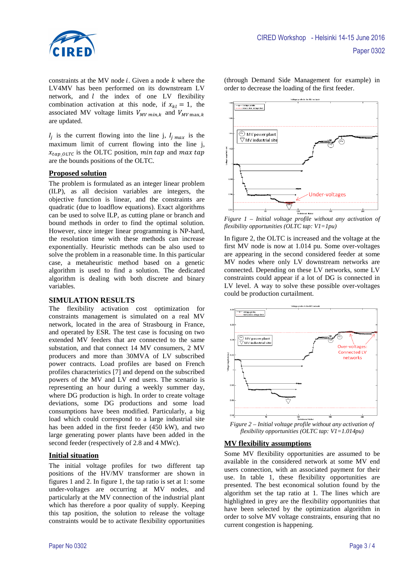

constraints at the MV node  $i$ . Given a node  $k$  where the LV4MV has been performed on its downstream LV network, and  $l$  the index of one LV flexibility combination activation at this node, if  $x_{kl} = 1$ , the associated MV voltage limits  $V_{MV,min,k}$  and  $V_{MV,max,k}$ are updated.

 $I_j$  is the current flowing into the line j,  $I_{jmax}$  is the maximum limit of current flowing into the line j,  $x_{tap\_OLTC}$  is the OLTC position, min tap and max tap are the bounds positions of the OLTC.

#### **Proposed solution**

The problem is formulated as an integer linear problem (ILP), as all decision variables are integers, the objective function is linear, and the constraints are quadratic (due to loadflow equations). Exact algorithms can be used to solve ILP, as cutting plane or branch and bound methods in order to find the optimal solution. However, since integer linear programming is NP-hard, the resolution time with these methods can increase exponentially. Heuristic methods can be also used to solve the problem in a reasonable time. In this particular case, a metaheuristic method based on a genetic algorithm is used to find a solution. The dedicated algorithm is dealing with both discrete and binary variables.

#### **SIMULATION RESULTS**

The flexibility activation cost optimization for constraints management is simulated on a real MV network, located in the area of Strasbourg in France, and operated by ESR. The test case is focusing on two extended MV feeders that are connected to the same substation, and that connect 14 MV consumers, 2 MV producers and more than 30MVA of LV subscribed power contracts. Load profiles are based on French profiles characteristics [7] and depend on the subscribed powers of the MV and LV end users. The scenario is representing an hour during a weekly summer day, where DG production is high. In order to create voltage deviations, some DG productions and some load consumptions have been modified. Particularly, a big load which could correspond to a large industrial site has been added in the first feeder (450 kW), and two large generating power plants have been added in the second feeder (respectively of 2.8 and 4 MWc).

### **Initial situation**

The initial voltage profiles for two different tap positions of the HV/MV transformer are shown in figures 1 and 2. In figure 1, the tap ratio is set at 1: some under-voltages are occurring at MV nodes, and particularly at the MV connection of the industrial plant which has therefore a poor quality of supply. Keeping this tap position, the solution to release the voltage constraints would be to activate flexibility opportunities

(through Demand Side Management for example) in order to decrease the loading of the first feeder.



*Figure 1 – Initial voltage profile without any activation of flexibility opportunities (OLTC tap: V1=1pu)*

In figure 2, the OLTC is increased and the voltage at the first MV node is now at 1.014 pu. Some over-voltages are appearing in the second considered feeder at some MV nodes where only LV downstream networks are connected. Depending on these LV networks, some LV constraints could appear if a lot of DG is connected in LV level. A way to solve these possible over-voltages could be production curtailment.



*Figure 2 – Initial voltage profile without any activation of flexibility opportunities (OLTC tap: V1=1.014pu)*

#### **MV flexibility assumptions**

Some MV flexibility opportunities are assumed to be available in the considered network at some MV end users connection, with an associated payment for their use. In table 1, these flexibility opportunities are presented. The best economical solution found by the algorithm set the tap ratio at 1. The lines which are highlighted in grey are the flexibility opportunities that have been selected by the optimization algorithm in order to solve MV voltage constraints, ensuring that no current congestion is happening.